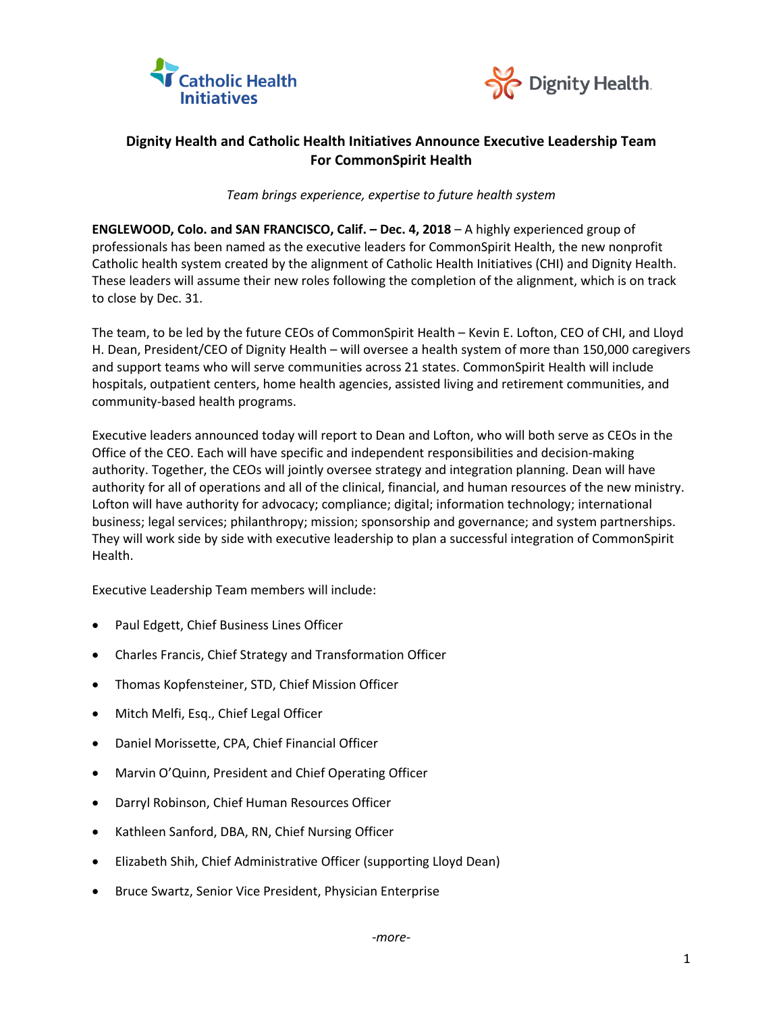



## **Dignity Health and Catholic Health Initiatives Announce Executive Leadership Team For CommonSpirit Health**

*Team brings experience, expertise to future health system* 

**ENGLEWOOD, Colo. and SAN FRANCISCO, Calif. – Dec. 4, 2018** – A highly experienced group of professionals has been named as the executive leaders for CommonSpirit Health, the new nonprofit Catholic health system created by the alignment of Catholic Health Initiatives (CHI) and Dignity Health. These leaders will assume their new roles following the completion of the alignment, which is on track to close by Dec. 31.

The team, to be led by the future CEOs of CommonSpirit Health – Kevin E. Lofton, CEO of CHI, and Lloyd H. Dean, President/CEO of Dignity Health – will oversee a health system of more than 150,000 caregivers and support teams who will serve communities across 21 states. CommonSpirit Health will include hospitals, outpatient centers, home health agencies, assisted living and retirement communities, and community-based health programs.

Executive leaders announced today will report to Dean and Lofton, who will both serve as CEOs in the Office of the CEO. Each will have specific and independent responsibilities and decision-making authority. Together, the CEOs will jointly oversee strategy and integration planning. Dean will have authority for all of operations and all of the clinical, financial, and human resources of the new ministry. Lofton will have authority for advocacy; compliance; digital; information technology; international business; legal services; philanthropy; mission; sponsorship and governance; and system partnerships. They will work side by side with executive leadership to plan a successful integration of CommonSpirit Health.

Executive Leadership Team members will include:

- Paul Edgett, Chief Business Lines Officer
- Charles Francis, Chief Strategy and Transformation Officer
- Thomas Kopfensteiner, STD, Chief Mission Officer
- Mitch Melfi, Esq., Chief Legal Officer
- Daniel Morissette, CPA, Chief Financial Officer
- Marvin O'Quinn, President and Chief Operating Officer
- Darryl Robinson, Chief Human Resources Officer
- Kathleen Sanford, DBA, RN, Chief Nursing Officer
- Elizabeth Shih, Chief Administrative Officer (supporting Lloyd Dean)
- Bruce Swartz, Senior Vice President, Physician Enterprise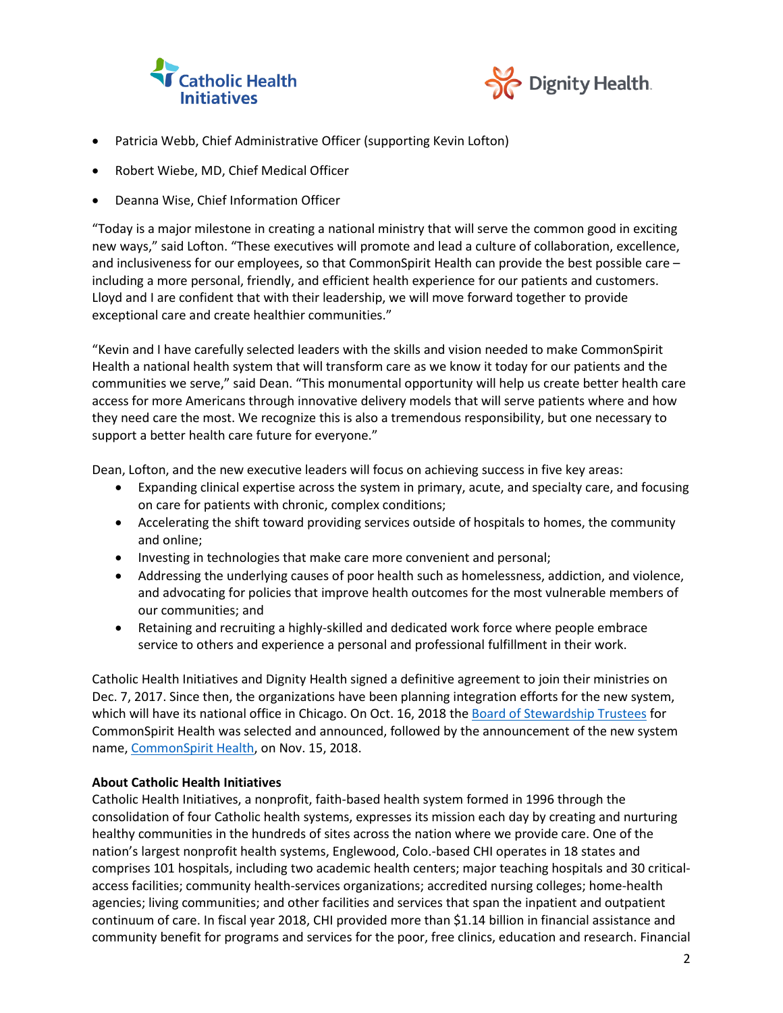



- Patricia Webb, Chief Administrative Officer (supporting Kevin Lofton)
- Robert Wiebe, MD, Chief Medical Officer
- Deanna Wise, Chief Information Officer

"Today is a major milestone in creating a national ministry that will serve the common good in exciting new ways," said Lofton. "These executives will promote and lead a culture of collaboration, excellence, and inclusiveness for our employees, so that CommonSpirit Health can provide the best possible care – including a more personal, friendly, and efficient health experience for our patients and customers. Lloyd and I are confident that with their leadership, we will move forward together to provide exceptional care and create healthier communities."

"Kevin and I have carefully selected leaders with the skills and vision needed to make CommonSpirit Health a national health system that will transform care as we know it today for our patients and the communities we serve," said Dean. "This monumental opportunity will help us create better health care access for more Americans through innovative delivery models that will serve patients where and how they need care the most. We recognize this is also a tremendous responsibility, but one necessary to support a better health care future for everyone."

Dean, Lofton, and the new executive leaders will focus on achieving success in five key areas:

- Expanding clinical expertise across the system in primary, acute, and specialty care, and focusing on care for patients with chronic, complex conditions;
- Accelerating the shift toward providing services outside of hospitals to homes, the community and online;
- Investing in technologies that make care more convenient and personal;
- Addressing the underlying causes of poor health such as homelessness, addiction, and violence, and advocating for policies that improve health outcomes for the most vulnerable members of our communities; and
- Retaining and recruiting a highly-skilled and dedicated work force where people embrace service to others and experience a personal and professional fulfillment in their work.

Catholic Health Initiatives and Dignity Health signed a definitive agreement to join their ministries on Dec. 7, 2017. Since then, the organizations have been planning integration efforts for the new system, which will have its national office in Chicago. On Oct. 16, 2018 the Board of [Stewardship](https://www.advancinghealthcaretogether.org/newsroom/2018/10/selection-board-stewardship-trustees-new-system-announced-dignity-health-catholic-health-initiatives/) Trustees for CommonSpirit Health was selected and announced, followed by the announcement of the new system name, [CommonSpirit](https://www.advancinghealthcaretogether.org/newsroom/2018/11/commonspirit-health-chosen-name-new-system-created-alignment-catholic-health-initiatives-dignity-health/) Health, on Nov. 15, 2018.

## **About Catholic Health Initiatives**

Catholic Health Initiatives, a nonprofit, faith-based health system formed in 1996 through the consolidation of four Catholic health systems, expresses its mission each day by creating and nurturing healthy communities in the hundreds of sites across the nation where we provide care. One of the nation's largest nonprofit health systems, Englewood, Colo.-based CHI operates in 18 states and comprises 101 hospitals, including two academic health centers; major teaching hospitals and 30 criticalaccess facilities; community health-services organizations; accredited nursing colleges; home-health agencies; living communities; and other facilities and services that span the inpatient and outpatient continuum of care. In fiscal year 2018, CHI provided more than \$1.14 billion in financial assistance and community benefit for programs and services for the poor, free clinics, education and research. Financial